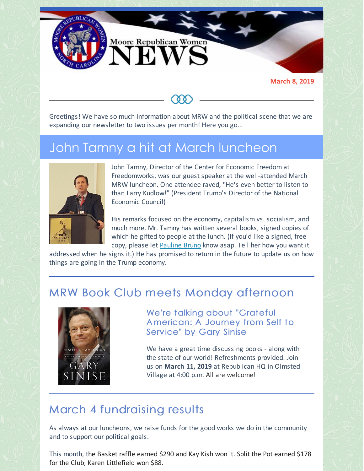

**March 8, 2019**

Greetings! We have so much information about MRW and the political scene that we are expanding our newsletter to two issues per month! Here you go...

# John Tamny a hit at March luncheon



John Tamny, Director of the Center for Economic Freedom at Freedomworks, was our guest speaker at the well-attended March MRW luncheon. One attendee raved, "He's even better to listen to than Larry Kudlow!" (President Trump's Director of the National Economic Council)

His remarks focused on the economy, capitalism vs. socialism, and much more. Mr. Tamny has written several books, signed copies of which he gifted to people at the lunch. (If you'd like a signed, free copy, please let [Pauline](mailto:pbruno46@gmail.com) Bruno know asap. Tell her how you want it

addressed when he signs it.) He has promised to return in the future to update us on how things are going in the Trump economy.

### MRW Book Club meets Monday afternoon



We're talking about "Grateful American: A Journey from Self to Service" by Gary Sinise

We have a great time discussing books - along with the state of our world! Refreshments provided. Join us on **March 11, 2019** at Republican HQ in Olmsted Village at 4:00 p.m. All are welcome!

### March 4 fundraising results

As always at our luncheons, we raise funds for the good works we do in the community and to support our political goals.

This month, the Basket raffle earned \$290 and Kay Kish won it. Split the Pot earned \$178 for the Club; Karen Littlefield won \$88.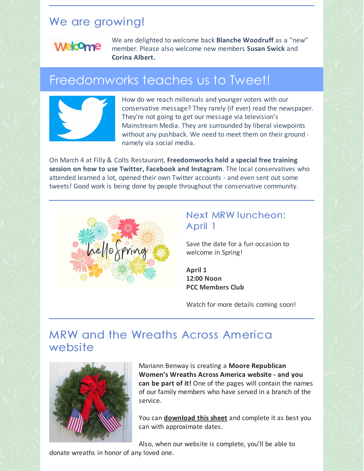### We are growing!



We are delighted to welcome back **Blanche Woodruff** as a "new" member. Please also welcome new members **Susan Swick** and **Corina Albert.**

### Freedomworks teaches us to Tweet!



How do we reach millenials and younger voters with our conservative message? They rarely (if ever) read the newspaper. They're not going to get our message via television's Mainstream Media. They are surrounded by liberal viewpoints without any pushback. We need to meet them on their ground namely via social media.

On March 4 at Filly & Colts Restaurant, **Freedomworks held a special free training session on how to use Twitter, Facebook and Instagram**. The local conservatives who attended learned a lot, opened their own Twitter accounts - and even sent out some tweets! Good work is being done by people throughout the conservative community.



#### Next MRW luncheon: April 1

Save the date for a fun occasion to welcome in Spring!

**April 1 12:00 Noon PCC Members Club**

Watch for more details coming soon!

### MRW and the Wreaths Across America website



Mariann Benway is creating a **Moore Republican Women's Wreaths Across America website - and you can be part of it!** One of the pages will contain the names of our family members who have served in a branch of the service.

You can **[download](https://files.constantcontact.com/30571cb6701/c25722a8-efa7-4bc4-b857-aae1dea7fbc1.pdf) this sheet** and complete it as best you can with approximate dates.

Also, when our website is complete, you'll be able to

donate wreaths in honor of any loved one.